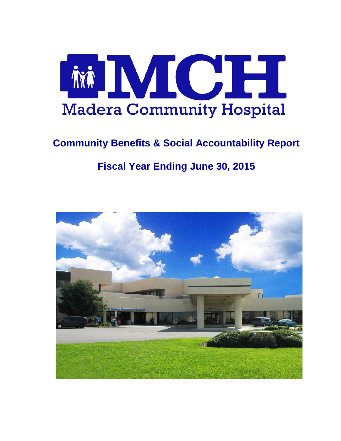

# **Community Benefits & Social Accountability Report**

# **Fiscal Year Ending June 30, 2015**

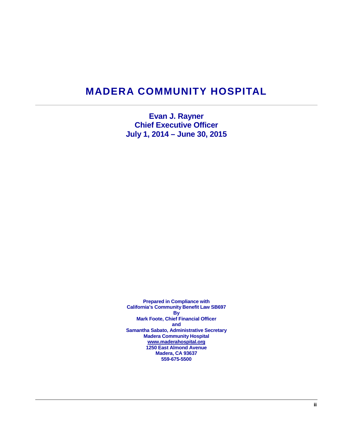# **MADERA COMMUNITY HOSPITAL**

**Evan J. Rayner Chief Executive Officer July 1, 2014 – June 30, 2015**

**Prepared in Compliance with California's Community Benefit Law SB697 By Mark Foote, Chief Financial Officer and Samantha Sabato, Administrative Secretary Madera Community Hospital [www.maderahospital.org](http://www.maderahospital.org/) 1250 East Almond Avenue Madera, CA 93637 559-675-5500**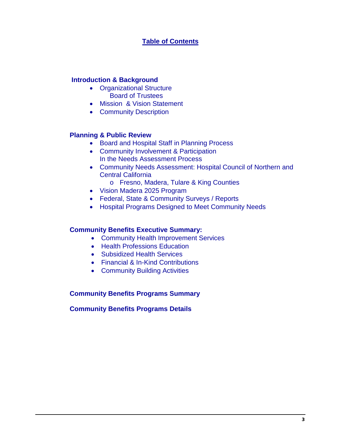# **Table of Contents**

## **Introduction & Background**

- Organizational Structure Board of Trustees
- Mission & Vision Statement
- Community Description

# **Planning & Public Review**

- Board and Hospital Staff in Planning Process
- Community Involvement & Participation In the Needs Assessment Process
- Community Needs Assessment: Hospital Council of Northern and Central California
	- o Fresno, Madera, Tulare & King Counties
- Vision Madera 2025 Program
- Federal, State & Community Surveys / Reports
- Hospital Programs Designed to Meet Community Needs

## **Community Benefits Executive Summary:**

- Community Health Improvement Services
- Health Professions Education
- Subsidized Health Services
- Financial & In-Kind Contributions
- Community Building Activities

## **Community Benefits Programs Summary**

## **Community Benefits Programs Details**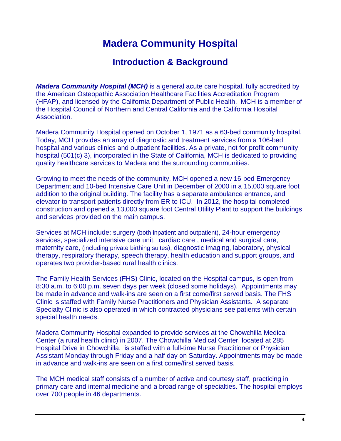# **Madera Community Hospital**

# **Introduction & Background**

*Madera Community Hospital (MCH)* is a general acute care hospital, fully accredited by the American Osteopathic Association Healthcare Facilities Accreditation Program (HFAP), and licensed by the California Department of Public Health. MCH is a member of the Hospital Council of Northern and Central California and the California Hospital Association.

Madera Community Hospital opened on October 1, 1971 as a 63-bed community hospital. Today, MCH provides an array of diagnostic and treatment services from a 106-bed hospital and various clinics and outpatient facilities. As a private, not for profit community hospital (501(c) 3), incorporated in the State of California, MCH is dedicated to providing quality healthcare services to Madera and the surrounding communities.

Growing to meet the needs of the community, MCH opened a new 16-bed Emergency Department and 10-bed Intensive Care Unit in December of 2000 in a 15,000 square foot addition to the original building. The facility has a separate ambulance entrance, and elevator to transport patients directly from ER to ICU. In 2012, the hospital completed construction and opened a 13,000 square foot Central Utility Plant to support the buildings and services provided on the main campus.

Services at MCH include: surgery (both inpatient and outpatient), 24-hour emergency services, specialized intensive care unit, cardiac care , medical and surgical care, maternity care, (including private birthing suites), diagnostic imaging, laboratory, physical therapy, respiratory therapy, speech therapy, health education and support groups, and operates two provider-based rural health clinics.

The Family Health Services (FHS) Clinic, located on the Hospital campus, is open from 8:30 a.m. to 6:00 p.m. seven days per week (closed some holidays). Appointments may be made in advance and walk-ins are seen on a first come/first served basis. The FHS Clinic is staffed with Family Nurse Practitioners and Physician Assistants. A separate Specialty Clinic is also operated in which contracted physicians see patients with certain special health needs.

Madera Community Hospital expanded to provide services at the Chowchilla Medical Center (a rural health clinic) in 2007. The Chowchilla Medical Center, located at 285 Hospital Drive in Chowchilla, is staffed with a full-time Nurse Practitioner or Physician Assistant Monday through Friday and a half day on Saturday. Appointments may be made in advance and walk-ins are seen on a first come/first served basis.

The MCH medical staff consists of a number of active and courtesy staff, practicing in primary care and internal medicine and a broad range of specialties. The hospital employs over 700 people in 46 departments.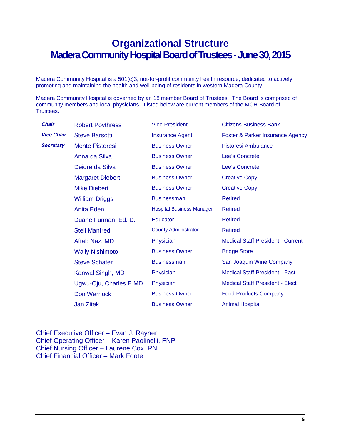# **Organizational Structure Madera Community Hospital Board of Trustees - June 30, 2015**

Madera Community Hospital is a 501(c)3, not-for-profit community health resource, dedicated to actively promoting and maintaining the health and well-being of residents in western Madera County.

Madera Community Hospital is governed by an 18 member Board of Trustees. The Board is comprised of community members and local physicians. Listed below are current members of the MCH Board of Trustees.

| Chair             | <b>Robert Poythress</b> | <b>Vice President</b>            | <b>Citizens Business Bank</b>            |
|-------------------|-------------------------|----------------------------------|------------------------------------------|
| <b>Vice Chair</b> | <b>Steve Barsotti</b>   | <b>Insurance Agent</b>           | Foster & Parker Insurance Agency         |
| <b>Secretary</b>  | <b>Monte Pistoresi</b>  | <b>Business Owner</b>            | Pistoresi Ambulance                      |
|                   | Anna da Silva           | <b>Business Owner</b>            | <b>Lee's Concrete</b>                    |
|                   | Deidre da Silva         | <b>Business Owner</b>            | <b>Lee's Concrete</b>                    |
|                   | <b>Margaret Diebert</b> | <b>Business Owner</b>            | <b>Creative Copy</b>                     |
|                   | <b>Mike Diebert</b>     | <b>Business Owner</b>            | <b>Creative Copy</b>                     |
|                   | <b>William Driggs</b>   | <b>Businessman</b>               | <b>Retired</b>                           |
|                   | <b>Anita Eden</b>       | <b>Hospital Business Manager</b> | <b>Retired</b>                           |
|                   | Duane Furman, Ed. D.    | <b>Educator</b>                  | <b>Retired</b>                           |
|                   | <b>Stell Manfredi</b>   | <b>County Administrator</b>      | <b>Retired</b>                           |
|                   | Aftab Naz, MD           | Physician                        | <b>Medical Staff President - Current</b> |
|                   | <b>Wally Nishimoto</b>  | <b>Business Owner</b>            | <b>Bridge Store</b>                      |
|                   | <b>Steve Schafer</b>    | <b>Businessman</b>               | San Joaquin Wine Company                 |
|                   | Kanwal Singh, MD        | Physician                        | <b>Medical Staff President - Past</b>    |
|                   | Ugwu-Oju, Charles E MD  | Physician                        | <b>Medical Staff President - Elect</b>   |
|                   | Don Warnock             | <b>Business Owner</b>            | <b>Food Products Company</b>             |
|                   | <b>Jan Zitek</b>        | <b>Business Owner</b>            | <b>Animal Hospital</b>                   |

Chief Executive Officer – Evan J. Rayner Chief Operating Officer – Karen Paolinelli, FNP Chief Nursing Officer – Laurene Cox, RN Chief Financial Officer – Mark Foote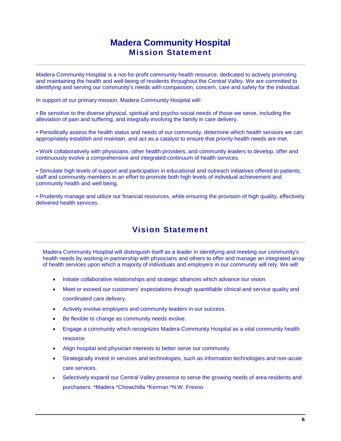# **Madera Community Hospital Mission Statement**

Madera Community Hospital is a not-for-profit community health resource, dedicated to actively promoting and maintaining the health and well-being of residents throughout the Central Valley. We are committed to identifying and serving our community's needs with compassion, concern, care and safety for the individual.

In support of our primary mission, Madera Community Hospital will:

• Be sensitive to the diverse physical, spiritual and psycho-social needs of those we serve, including the alleviation of pain and suffering, and integrally involving the family in care delivery.

• Periodically assess the health status and needs of our community, determine which health services we can appropriately establish and maintain, and act as a catalyst to ensure that priority health needs are met.

• Work collaboratively with physicians, other health providers, and community leaders to develop, offer and continuously evolve a comprehensive and integrated continuum of health services.

• Stimulate high levels of support and participation in educational and outreach initiatives offered to patients, staff and community members in an effort to promote both high levels of individual achievement and community health and well being.

• Prudently manage and utilize our financial resources, while ensuring the provision of high quality, effectively delivered health services.

# **Vision Statement**

Madera Community Hospital will distinguish itself as a leader in identifying and meeting our community's health needs by working in partnership with physicians and others to offer and manage an integrated array of health services upon which a majority of individuals and employers in our community will rely. We will:

- Initiate collaborative relationships and strategic alliances which advance our vision.
- Meet or exceed our customers' expectations through quantifiable clinical and service quality and coordinated care delivery.
- Actively involve employers and community leaders in our success.
- Be flexible to change as community needs evolve.
- Engage a community which recognizes Madera Community Hospital as a vital community health resource.
- Align hospital and physician interests to better serve our community.
- Strategically invest in services and technologies, such as information technologies and non-acute care services.
- Selectively expand our Central Valley presence to serve the growing needs of area residents and purchasers: \*Madera \*Chowchilla \*Kerman \*N.W. Fresno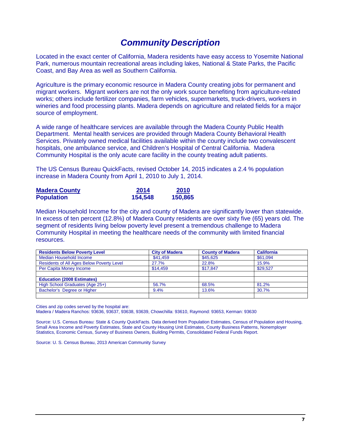# *Community Description*

Located in the exact center of California, Madera residents have easy access to Yosemite National Park, numerous mountain recreational areas including lakes, National & State Parks, the Pacific Coast, and Bay Area as well as Southern California.

Agriculture is the primary economic resource in Madera County creating jobs for permanent and migrant workers. Migrant workers are not the only work source benefiting from agriculture-related works; others include fertilizer companies, farm vehicles, supermarkets, truck-drivers, workers in wineries and food processing plants. Madera depends on agriculture and related fields for a major source of employment.

A wide range of healthcare services are available through the Madera County Public Health Department. Mental health services are provided through Madera County Behavioral Health Services. Privately owned medical facilities available within the county include two convalescent hospitals, one ambulance service, and Children's Hospital of Central California. Madera Community Hospital is the only acute care facility in the county treating adult patients.

The US Census Bureau QuickFacts, revised October 14, 2015 indicates a 2.4 % population increase in Madera County from April 1, 2010 to July 1, 2014.

| <b>Madera County</b> | 2014    | 2010    |
|----------------------|---------|---------|
| <b>Population</b>    | 154,548 | 150,865 |

Median Household Income for the city and county of Madera are significantly lower than statewide. In excess of ten percent (12.8%) of Madera County residents are over sixty five (65) years old. The segment of residents living below poverty level present a tremendous challenge to Madera Community Hospital in meeting the healthcare needs of the community with limited financial resources.

| <b>Residents Below Poverty Level</b>             | <b>City of Madera</b> | <b>County of Madera</b> | <b>California</b> |
|--------------------------------------------------|-----------------------|-------------------------|-------------------|
| Median Household Income                          | \$41,459              | \$45,625                | \$61,094          |
| <b>Residents of All Ages Below Poverty Level</b> | 27.7%                 | 22.8%                   | 15.9%             |
| Per Capita Money Income                          | \$14.459              | \$17.847                | \$29.527          |
|                                                  |                       |                         |                   |
| <b>Education (2008 Estimates)</b>                |                       |                         |                   |
| High School Graduates (Age 25+)                  | 56.7%                 | 68.5%                   | 81.2%             |
| Bachelor's Degree or Higher                      | 9.4%                  | 13.6%                   | 30.7%             |
|                                                  |                       |                         |                   |

Cities and zip codes served by the hospital are:

Madera / Madera Ranchos: 93636, 93637, 93638, 93639, Chowchilla: 93610, Raymond: 93653, Kerman: 93630

Source: U.S. Census Bureau: State & County QuickFacts. Data derived from Population Estimates, Census of Population and Housing, Small Area Income and Poverty Estimates, State and County Housing Unit Estimates, County Business Patterns, Nonemployer Statistics, Economic Census, Survey of Business Owners, Building Permits, Consolidated Federal Funds Report.

Source: U. S. Census Bureau, 2013 American Community Survey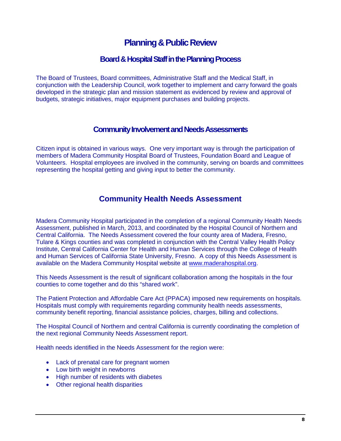# **Planning & Public Review**

# **Board & Hospital Staff in the Planning Process**

The Board of Trustees, Board committees, Administrative Staff and the Medical Staff, in conjunction with the Leadership Council, work together to implement and carry forward the goals developed in the strategic plan and mission statement as evidenced by review and approval of budgets, strategic initiatives, major equipment purchases and building projects.

# **Community Involvement and Needs Assessments**

Citizen input is obtained in various ways. One very important way is through the participation of members of Madera Community Hospital Board of Trustees, Foundation Board and League of Volunteers. Hospital employees are involved in the community, serving on boards and committees representing the hospital getting and giving input to better the community.

# **Community Health Needs Assessment**

Madera Community Hospital participated in the completion of a regional Community Health Needs Assessment, published in March, 2013, and coordinated by the Hospital Council of Northern and Central California. The Needs Assessment covered the four county area of Madera, Fresno, Tulare & Kings counties and was completed in conjunction with the Central Valley Health Policy Institute, Central California Center for Health and Human Services through the College of Health and Human Services of California State University, Fresno. A copy of this Needs Assessment is available on the Madera Community Hospital website at [www.maderahospital.org.](http://www.maderahospital.org/)

This Needs Assessment is the result of significant collaboration among the hospitals in the four counties to come together and do this "shared work".

The Patient Protection and Affordable Care Act (PPACA) imposed new requirements on hospitals. Hospitals must comply with requirements regarding community health needs assessments, community benefit reporting, financial assistance policies, charges, billing and collections.

The Hospital Council of Northern and central California is currently coordinating the completion of the next regional Community Needs Assessment report.

Health needs identified in the Needs Assessment for the region were:

- Lack of prenatal care for pregnant women
- Low birth weight in newborns
- High number of residents with diabetes
- Other regional health disparities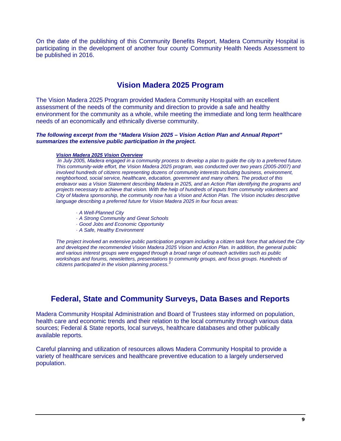On the date of the publishing of this Community Benefits Report, Madera Community Hospital is participating in the development of another four county Community Health Needs Assessment to be published in 2016.

# **Vision Madera 2025 Program**

The Vision Madera 2025 Program provided Madera Community Hospital with an excellent assessment of the needs of the community and direction to provide a safe and healthy environment for the community as a whole, while meeting the immediate and long term healthcare needs of an economically and ethnically diverse community.

#### *The following excerpt from the "Madera Vision 2025 – Vision Action Plan and Annual Report" summarizes the extensive public participation in the project.*

#### *Vision Madera 2025 Vision Overview*

*In July 2005, Madera engaged in a community process to develop a plan to guide the city to a preferred future. This community-wide effort, the Vision Madera 2025 program, was conducted over two years (2005-2007) and involved hundreds of citizens representing dozens of community interests including business, environment, neighborhood, social service, healthcare, education, government and many others. The product of this endeavor was a Vision Statement describing Madera in 2025, and an Action Plan identifying the programs and projects necessary to achieve that vision. With the help of hundreds of inputs from community volunteers and City of Madera sponsorship, the community now has a Vision and Action Plan. The Vision includes descriptive language describing a preferred future for Vision Madera 2025 in four focus areas:*

- *· A Well-Planned City*
- *· A Strong Community and Great Schools*
- *· Good Jobs and Economic Opportunity*
- *· A Safe, Healthy Environment*

*The project involved an extensive public participation program including a citizen task force that advised the City and developed the recommended Vision Madera 2025 Vision and Action Plan. In addition, the general public and various interest groups were engaged through a broad range of outreach activities such as public workshops and forums, newsletters, presentations to community groups, and focus groups. Hundreds of citizens participated in the vision planning process.<sup>3</sup>*

# **Federal, State and Community Surveys, Data Bases and Reports**

Madera Community Hospital Administration and Board of Trustees stay informed on population, health care and economic trends and their relation to the local community through various data sources; Federal & State reports, local surveys, healthcare databases and other publically available reports.

Careful planning and utilization of resources allows Madera Community Hospital to provide a variety of healthcare services and healthcare preventive education to a largely underserved population.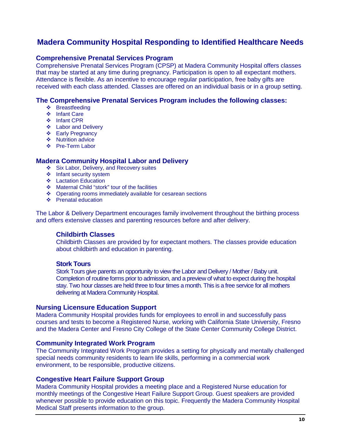# **Madera Community Hospital Responding to Identified Healthcare Needs**

### **Comprehensive Prenatal Services Program**

Comprehensive Prenatal Services Program (CPSP) at Madera Community Hospital offers classes that may be started at any time during pregnancy. Participation is open to all expectant mothers. Attendance is flexible. As an incentive to encourage regular participation, free baby gifts are received with each class attended. Classes are offered on an individual basis or in a group setting.

### **The Comprehensive Prenatal Services Program includes the following classes:**

- Breastfeeding
- ❖ Infant Care
- ❖ Infant CPR
- $\div$  Labor and Delivery
- Early Pregnancy
- ❖ Nutrition advice
- ❖ Pre-Term Labor

## **Madera Community Hospital Labor and Delivery**

- Six Labor, Delivery, and Recovery suites
- $\div$  Infant security system
- $\div$  Lactation Education
- Maternal Child "stork" tour of the facilities
- Operating rooms immediately available for cesarean sections
- Prenatal education

The Labor & Delivery Department encourages family involvement throughout the birthing process and offers extensive classes and parenting resources before and after delivery.

## **Childbirth Classes**

Childbirth Classes are provided by for expectant mothers. The classes provide education about childbirth and education in parenting.

#### **Stork Tours**

Stork Tours give parents an opportunity to view the Labor and Delivery / Mother / Baby unit. Completion of routine forms prior to admission, and a preview of what to expect during the hospital stay. Two hour classes are held three to four times a month. This is a free service for all mothers delivering at Madera Community Hospital.

#### **Nursing Licensure Education Support**

Madera Community Hospital provides funds for employees to enroll in and successfully pass courses and tests to become a Registered Nurse, working with California State University, Fresno and the Madera Center and Fresno City College of the State Center Community College District.

### **Community Integrated Work Program**

The Community Integrated Work Program provides a setting for physically and mentally challenged special needs community residents to learn life skills, performing in a commercial work environment, to be responsible, productive citizens.

#### **Congestive Heart Failure Support Group**

Madera Community Hospital provides a meeting place and a Registered Nurse education for monthly meetings of the Congestive Heart Failure Support Group. Guest speakers are provided whenever possible to provide education on this topic. Frequently the Madera Community Hospital Medical Staff presents information to the group.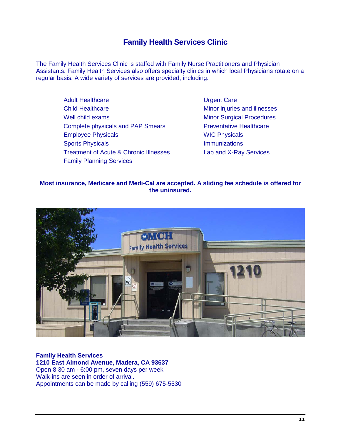# **Family Health Services Clinic**

The Family Health Services Clinic is staffed with Family Nurse Practitioners and Physician Assistants. Family Health Services also offers specialty clinics in which local Physicians rotate on a regular basis. A wide variety of services are provided, including:

> Adult Healthcare **National Care** Urgent Care Child Healthcare Minor injuries and illnesses Well child exams Minor Surgical Procedures Complete physicals and PAP Smears Preventative Healthcare Employee Physicals **Employee Physicals** WIC Physicals Sports Physicals **Immunizations** Treatment of Acute & Chronic Illnesses Lab and X-Ray Services Family Planning Services

### **Most insurance, Medicare and Medi-Cal are accepted. A sliding fee schedule is offered for the uninsured.**



# **Family Health Services 1210 East Almond Avenue, Madera, CA 93637**  Open 8:30 am - 6:00 pm, seven days per week Walk-ins are seen in order of arrival.

Appointments can be made by calling (559) 675-5530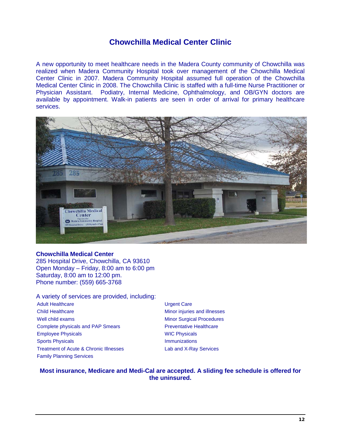# **Chowchilla Medical Center Clinic**

A new opportunity to meet healthcare needs in the Madera County community of Chowchilla was realized when Madera Community Hospital took over management of the Chowchilla Medical Center Clinic in 2007. Madera Community Hospital assumed full operation of the Chowchilla Medical Center Clinic in 2008. The Chowchilla Clinic is staffed with a full-time Nurse Practitioner or Physician Assistant. Podiatry, Internal Medicine, Ophthalmology, and OB/GYN doctors are available by appointment. Walk-in patients are seen in order of arrival for primary healthcare services.



#### **Chowchilla Medical Center**

285 Hospital Drive, Chowchilla, CA 93610 Open Monday – Friday, 8:00 am to 6:00 pm Saturday, 8:00 am to 12:00 pm. Phone number: (559) 665-3768

# A variety of services are provided, including:

- Adult Healthcare **National Care** Urgent Care Child Healthcare Minor injuries and illnesses Well child exams Minor Surgical Procedures Complete physicals and PAP Smears **Preventative Healthcare** Employee Physicals **Employee Physicals** WIC Physicals Sports Physicals **Immunizations** Treatment of Acute & Chronic Illnesses Lab and X-Ray Services Family Planning Services
	-

#### **Most insurance, Medicare and Medi-Cal are accepted. A sliding fee schedule is offered for the uninsured.**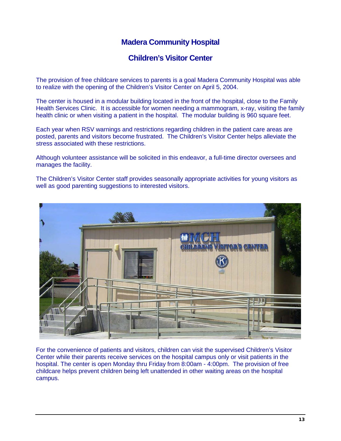# **Madera Community Hospital**

# **Children's Visitor Center**

The provision of free childcare services to parents is a goal Madera Community Hospital was able to realize with the opening of the Children's Visitor Center on April 5, 2004.

The center is housed in a modular building located in the front of the hospital, close to the Family Health Services Clinic. It is accessible for women needing a mammogram, x-ray, visiting the family health clinic or when visiting a patient in the hospital. The modular building is 960 square feet.

Each year when RSV warnings and restrictions regarding children in the patient care areas are posted, parents and visitors become frustrated. The Children's Visitor Center helps alleviate the stress associated with these restrictions.

Although volunteer assistance will be solicited in this endeavor, a full-time director oversees and manages the facility.

The Children's Visitor Center staff provides seasonally appropriate activities for young visitors as well as good parenting suggestions to interested visitors.



For the convenience of patients and visitors, children can visit the supervised Children's Visitor Center while their parents receive services on the hospital campus only or visit patients in the hospital. The center is open Monday thru Friday from 8:00am - 4:00pm. The provision of free childcare helps prevent children being left unattended in other waiting areas on the hospital campus.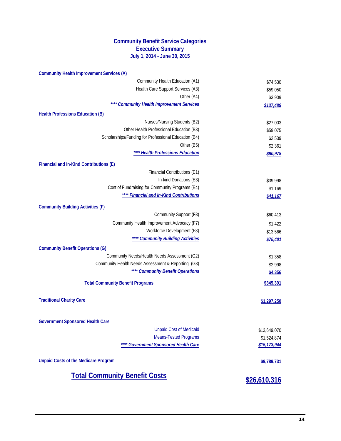## **Community Benefit Service Categories Executive Summary July 1, 2014 - June 30, 2015**

| Community Health Education (A1)<br>Health Care Support Services (A3)<br>Other (A4)<br>** Community Health Improvement Services<br><b>Health Professions Education (B)</b> | \$74,530<br>\$59,050<br>\$3,909<br>\$137,489 |
|---------------------------------------------------------------------------------------------------------------------------------------------------------------------------|----------------------------------------------|
|                                                                                                                                                                           |                                              |
|                                                                                                                                                                           |                                              |
|                                                                                                                                                                           |                                              |
|                                                                                                                                                                           |                                              |
|                                                                                                                                                                           |                                              |
| Nurses/Nursing Students (B2)                                                                                                                                              | \$27,003                                     |
| Other Health Professional Education (B3)                                                                                                                                  | \$59,075                                     |
| Scholarships/Funding for Professional Education (B4)                                                                                                                      | \$2,539                                      |
| Other (B5)                                                                                                                                                                | \$2,361                                      |
| ** Health Professions Education                                                                                                                                           | \$90,978                                     |
| Financial and In-Kind Contributions (E)                                                                                                                                   |                                              |
| Financial Contributions (E1)                                                                                                                                              |                                              |
| In-kind Donations (E3)                                                                                                                                                    | \$39,998                                     |
| Cost of Fundraising for Community Programs (E4)                                                                                                                           | \$1,169                                      |
| **** Financial and In-Kind Contributions                                                                                                                                  | \$41,167                                     |
|                                                                                                                                                                           |                                              |
| <b>Community Building Activities (F)</b>                                                                                                                                  |                                              |
| Community Support (F3)                                                                                                                                                    | \$60,413                                     |
| Community Health Improvement Advocacy (F7)                                                                                                                                | \$1,422                                      |
| Workforce Development (F8)<br>**** Community Building Activities                                                                                                          | \$13,566                                     |
|                                                                                                                                                                           | \$75,401                                     |
| <b>Community Benefit Operations (G)</b>                                                                                                                                   |                                              |
| Community Needs/Health Needs Assessment (G2)                                                                                                                              | \$1,358                                      |
| Community Health Needs Assessment & Reporting (G3)                                                                                                                        | \$2,998                                      |
| **** Community Benefit Operations                                                                                                                                         | \$4,356                                      |
| <b>Total Community Benefit Programs</b>                                                                                                                                   | \$349,391                                    |
| <b>Traditional Charity Care</b>                                                                                                                                           | \$1,297,250                                  |
| <b>Government Sponsored Health Care</b>                                                                                                                                   |                                              |
| <b>Unpaid Cost of Medicaid</b>                                                                                                                                            | \$13,649,070                                 |
| <b>Means-Tested Programs</b>                                                                                                                                              | \$1,524,874                                  |
| **** Government Sponsored Health Care                                                                                                                                     | \$15,173,944                                 |
| <b>Unpaid Costs of the Medicare Program</b>                                                                                                                               | \$9,789,731                                  |
| <b>Total Community Benefit Costs</b>                                                                                                                                      | \$26,610,316                                 |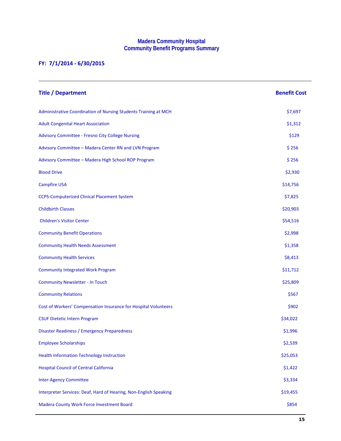#### **Madera Community Hospital Community Benefit Programs Summary**

# **FY: 7/1/2014 - 6/30/2015**

| <b>Title / Department</b>                                         | <b>Benefit Cost</b> |
|-------------------------------------------------------------------|---------------------|
| Administrative Coordination of Nursing Students Training at MCH   | \$7,697             |
| <b>Adult Congenital Heart Association</b>                         | \$1,312             |
| Advisory Committee - Fresno City College Nursing                  | \$129               |
| Advisory Committee - Madera Center RN and LVN Program             | \$256               |
| Advisory Committee - Madera High School ROP Program               | \$256               |
| <b>Blood Drive</b>                                                | \$2,930             |
| <b>Campfire USA</b>                                               | \$14,756            |
| <b>CCPS-Computerized Clinical Placement System</b>                | \$7,825             |
| <b>Childbirth Classes</b>                                         | \$20,903            |
| <b>Children's Visitor Center</b>                                  | \$54,516            |
| <b>Community Benefit Operations</b>                               | \$2,998             |
| <b>Community Health Needs Assessment</b>                          | \$1,358             |
| <b>Community Health Services</b>                                  | \$8,413             |
| <b>Community Integrated Work Program</b>                          | \$11,712            |
| <b>Community Newsletter - In Touch</b>                            | \$25,809            |
| <b>Community Relations</b>                                        | \$567               |
| Cost of Workers' Compensation Insurance for Hospital Volunteers   | \$902               |
| <b>CSUF Dietetic Intern Program</b>                               | \$34,022            |
| Disaster Readiness / Emergency Preparedness                       | \$1,996             |
| <b>Employee Scholarships</b>                                      | \$2,539             |
| <b>Health Information Technology Instruction</b>                  | \$25,053            |
| <b>Hospital Council of Central California</b>                     | \$1,422             |
| <b>Inter-Agency Committee</b>                                     | \$3,334             |
| Interpreter Services: Deaf, Hard of Hearing, Non-English Speaking | \$19,455            |
| Madera County Work Force Investment Board                         | \$854               |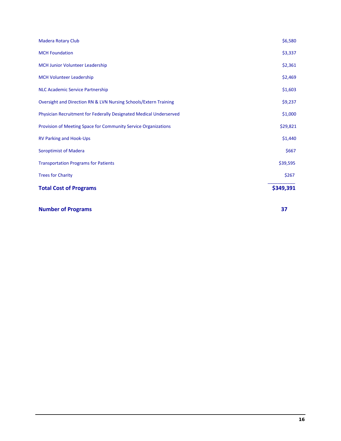| <b>Madera Rotary Club</b>                                          | \$6,580   |
|--------------------------------------------------------------------|-----------|
| <b>MCH Foundation</b>                                              | \$3,337   |
| <b>MCH Junior Volunteer Leadership</b>                             | \$2,361   |
| <b>MCH Volunteer Leadership</b>                                    | \$2,469   |
| <b>NLC Academic Service Partnership</b>                            | \$1,603   |
| Oversight and Direction RN & LVN Nursing Schools/Extern Training   | \$9,237   |
| Physician Recruitment for Federally Designated Medical Underserved | \$1,000   |
| Provision of Meeting Space for Community Service Organizations     | \$29,821  |
| <b>RV Parking and Hook-Ups</b>                                     | \$1,440   |
| <b>Soroptimist of Madera</b>                                       | \$667     |
| <b>Transportation Programs for Patients</b>                        | \$39,595  |
| <b>Trees for Charity</b>                                           | \$267     |
| <b>Total Cost of Programs</b>                                      | \$349,391 |

| <b>Number of Programs</b> |  |
|---------------------------|--|
|                           |  |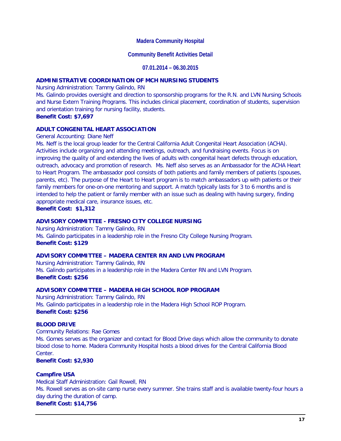#### **Madera Community Hospital**

#### **Community Benefit Activities Detail**

#### **07.01.2014 – 06.30.2015**

#### **ADMINISTRATIVE COORDINATION OF MCH NURSING STUDENTS**

Nursing Administration: Tammy Galindo, RN

Ms. Galindo provides oversight and direction to sponsorship programs for the R.N. and LVN Nursing Schools and Nurse Extern Training Programs. This includes clinical placement, coordination of students, supervision and orientation training for nursing facility, students.

#### **Benefit Cost: \$7,697**

#### **ADULT CONGENITAL HEART ASSOCIATION**

#### General Accounting: Diane Neff

Ms. Neff is the local group leader for the Central California Adult Congenital Heart Association (ACHA). Activities include organizing and attending meetings, outreach, and fundraising events. Focus is on improving the quality of and extending the lives of adults with congenital heart defects through education, outreach, advocacy and promotion of research. Ms. Neff also serves as an Ambassador for the ACHA Heart to Heart Program. The ambassador pool consists of both patients and family members of patients (spouses, parents, etc). The purpose of the Heart to Heart program is to match ambassadors up with patients or their family members for one-on-one mentoring and support. A match typically lasts for 3 to 6 months and is intended to help the patient or family member with an issue such as dealing with having surgery, finding appropriate medical care, insurance issues, etc.

**Benefit Cost: \$1,312**

#### **ADVISORY COMMITTEE - FRESNO CITY COLLEGE NURSING**

Nursing Administration: Tammy Galindo, RN Ms. Galindo participates in a leadership role in the Fresno City College Nursing Program. **Benefit Cost: \$129**

#### **ADVISORY COMMITTEE – MADERA CENTER RN AND LVN PROGRAM**

Nursing Administration: Tammy Galindo, RN Ms. Galindo participates in a leadership role in the Madera Center RN and LVN Program. **Benefit Cost: \$256**

#### **ADVISORY COMMITTEE – MADERA HIGH SCHOOL ROP PROGRAM**

Nursing Administration: Tammy Galindo, RN Ms. Galindo participates in a leadership role in the Madera High School ROP Program. **Benefit Cost: \$256**

#### **BLOOD DRIVE**

Community Relations: Rae Gomes Ms. Gomes serves as the organizer and contact for Blood Drive days which allow the community to donate blood close to home. Madera Community Hospital hosts a blood drives for the Central California Blood Center.

#### **Benefit Cost: \$2,930**

#### **Campfire USA**

Medical Staff Administration: Gail Rowell, RN Ms. Rowell serves as on-site camp nurse every summer. She trains staff and is available twenty-four hours a day during the duration of camp. **Benefit Cost: \$14,756**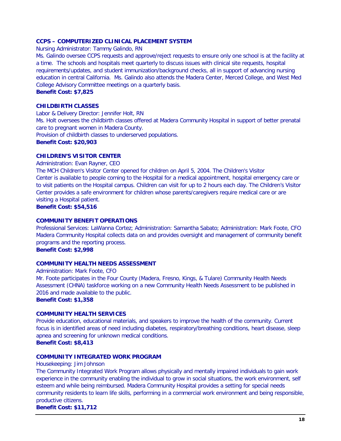#### **CCPS – COMPUTERIZED CLINICAL PLACEMENT SYSTEM**

Nursing Administrator: Tammy Galindo, RN

Ms. Galindo oversee CCPS requests and approve/reject requests to ensure only one school is at the facility at a time. The schools and hospitals meet quarterly to discuss issues with clinical site requests, hospital requirements/updates, and student immunization/background checks, all in support of advancing nursing education in central California. Ms. Galindo also attends the Madera Center, Merced College, and West Med College Advisory Committee meetings on a quarterly basis.

**Benefit Cost: \$7,825**

#### **CHILDBIRTH CLASSES**

Labor & Delivery Director: Jennifer Holt, RN

Ms. Holt oversees the childbirth classes offered at Madera Community Hospital in support of better prenatal care to pregnant women in Madera County.

Provision of childbirth classes to underserved populations.

#### **Benefit Cost: \$20,903**

#### **CHILDREN'S VISITOR CENTER**

Administration: Evan Rayner, CEO

The MCH Children's Visitor Center opened for children on April 5, 2004. The Children's Visitor Center is available to people coming to the Hospital for a medical appointment, hospital emergency care or to visit patients on the Hospital campus. Children can visit for up to 2 hours each day. The Children's Visitor Center provides a safe environment for children whose parents/caregivers require medical care or are visiting a Hospital patient.

**Benefit Cost: \$54,516**

#### **COMMUNITY BENEFIT OPERATIONS**

Professional Services: LaWanna Cortez; Administration: Samantha Sabato; Administration: Mark Foote, CFO Madera Community Hospital collects data on and provides oversight and management of community benefit programs and the reporting process.

**Benefit Cost: \$2,998**

#### **COMMUNITY HEALTH NEEDS ASSESSMENT**

Administration: Mark Foote, CFO Mr. Foote participates in the Four County (Madera, Fresno, Kings, & Tulare) Community Health Needs Assessment (CHNA) taskforce working on a new Community Health Needs Assessment to be published in 2016 and made available to the public.

**Benefit Cost: \$1,358**

#### **COMMUNITY HEALTH SERVICES**

Provide education, educational materials, and speakers to improve the health of the community. Current focus is in identified areas of need including diabetes, respiratory/breathing conditions, heart disease, sleep apnea and screening for unknown medical conditions.

**Benefit Cost: \$8,413**

#### **COMMUNITY INTEGRATED WORK PROGRAM**

#### Housekeeping: Jim Johnson

The Community Integrated Work Program allows physically and mentally impaired individuals to gain work experience in the community enabling the individual to grow in social situations, the work environment, self esteem and while being reimbursed. Madera Community Hospital provides a setting for special needs community residents to learn life skills, performing in a commercial work environment and being responsible, productive citizens.

**Benefit Cost: \$11,712**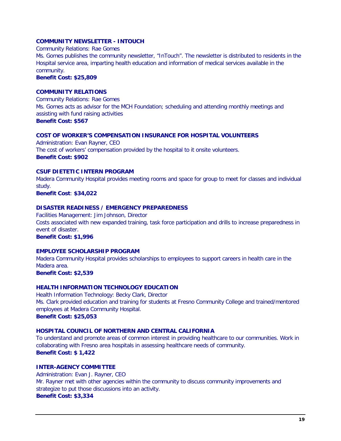#### **COMMUNITY NEWSLETTER - INTOUCH**

Community Relations: Rae Gomes

Ms. Gomes publishes the community newsletter, "InTouch". The newsletter is distributed to residents in the Hospital service area, imparting health education and information of medical services available in the community.

## **Benefit Cost: \$25,809**

### **COMMUNITY RELATIONS**

Community Relations: Rae Gomes Ms. Gomes acts as advisor for the MCH Foundation; scheduling and attending monthly meetings and assisting with fund raising activities **Benefit Cost: \$567**

#### **COST OF WORKER'S COMPENSATION INSURANCE FOR HOSPITAL VOLUNTEERS**

Administration: Evan Rayner, CEO The cost of workers' compensation provided by the hospital to it onsite volunteers. **Benefit Cost: \$902**

# **CSUF DIETETIC INTERN PROGRAM**

Madera Community Hospital provides meeting rooms and space for group to meet for classes and individual study.

**Benefit Cost**: **\$34,022**

#### **DISASTER READINESS / EMERGENCY PREPAREDNESS**

Facilities Management: Jim Johnson, Director Costs associated with new expanded training, task force participation and drills to increase preparedness in event of disaster.

**Benefit Cost: \$1,996**

## **EMPLOYEE SCHOLARSHIP PROGRAM**

Madera Community Hospital provides scholarships to employees to support careers in health care in the Madera area.

**Benefit Cost: \$2,539**

# **HEALTH INFORMATION TECHNOLOGY EDUCATION**

Health Information Technology: Becky Clark, Director Ms. Clark provided education and training for students at Fresno Community College and trained/mentored employees at Madera Community Hospital. **Benefit Cost: \$25,053**

**HOSPITAL COUNCIL OF NORTHERN AND CENTRAL CALIFORNIA**

To understand and promote areas of common interest in providing healthcare to our communities. Work in collaborating with Fresno area hospitals in assessing healthcare needs of community. **Benefit Cost: \$ 1,422**

#### **INTER-AGENCY COMMITTEE**

Administration: Evan J. Rayner, CEO Mr. Rayner met with other agencies within the community to discuss community improvements and strategize to put those discussions into an activity. **Benefit Cost: \$3,334**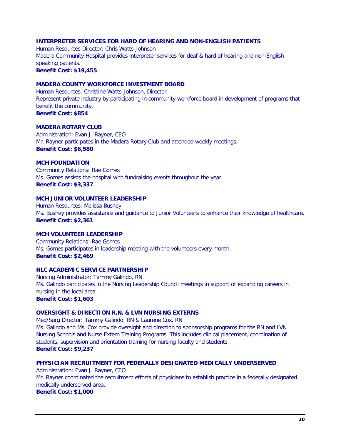#### **INTERPRETER SERVICES FOR HARD OF HEARING AND NON-ENGLISH PATIENTS**

Human Resources Director: Chris Watts-Johnson Madera Community Hospital provides interpreter services for deaf & hard of hearing and non-English speaking patients. **Benefit Cost: \$19,455**

## **MADERA COUNTY WORKFORCE INVESTMENT BOARD**

Human Resources: Christine Watts-Johnson, Director Represent private industry by participating in community workforce board in development of programs that benefit the community. **Benefit Cost: \$854**

#### **MADERA ROTARY CLUB**

Administration: Evan J. Rayner, CEO Mr. Rayner participates in the Madera Rotary Club and attended weekly meetings. **Benefit Cost: \$6,580**

#### **MCH FOUNDATION**

Community Relations: Rae Gomes Ms. Gomes assists the hospital with fundraising events throughout the year. **Benefit Cost: \$3,337**

#### **MCH JUNIOR VOLUNTEER LEADERSHIP**

Human Resources: Melissa Bushey Ms. Bushey provides assistance and guidance to Junior Volunteers to enhance their knowledge of healthcare. **Benefit Cost: \$2,361**

#### **MCH VOLUNTEER LEADERSHIP**

Community Relations: Rae Gomes Ms. Gomes participates in leadership meeting with the volunteers every month. **Benefit Cost: \$2,469**

#### **NLC ACADEMIC SERVICE PARTNERSHIP**

Nursing Administrator: Tammy Galindo, RN Ms. Galindo participates in the Nursing Leadership Council meetings in support of expanding careers in nursing in the local area. **Benefit Cost: \$1,603**

#### **OVERSIGHT & DIRECTION R.N. & LVN NURSING EXTERNS**

Med/Surg Director: Tammy Galindo, RN & Laurene Cox, RN

Ms. Galindo and Ms. Cox provide oversight and direction to sponsorship programs for the RN and LVN Nursing Schools and Nurse Extern Training Programs. This includes clinical placement, coordination of students, supervision and orientation training for nursing faculty and students. **Benefit Cost: \$9,237**

#### **PHYSICIAN RECRUITMENT FOR FEDERALLY DESIGNATED MEDICALLY UNDERSERVED**

Administration: Evan J. Rayner, CEO Mr. Rayner coordinated the recruitment efforts of physicians to establish practice in a federally designated medically underserved area. **Benefit Cost: \$1,000**